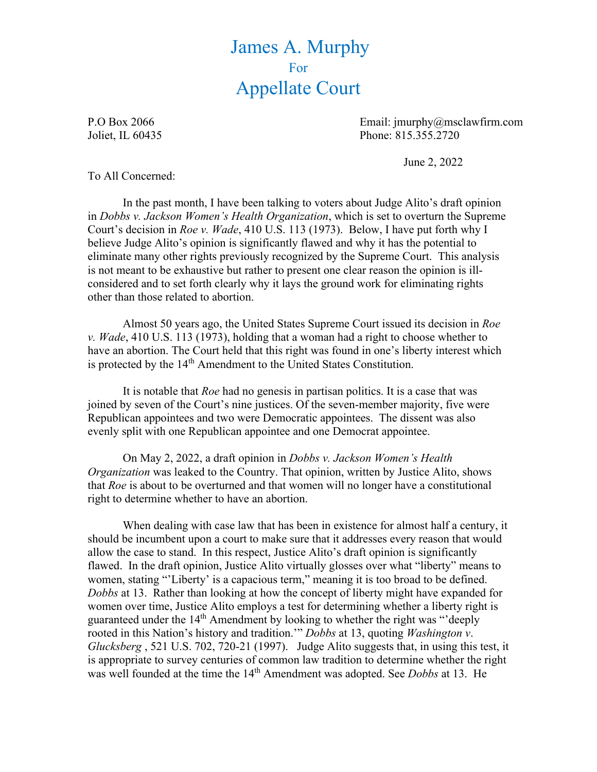## James A. Murphy For Appellate Court

P.O Box 2066 Email: jmurphy@msclawfirm.com Joliet, IL 60435 Phone: 815.355.2720

June 2, 2022

To All Concerned:

In the past month, I have been talking to voters about Judge Alito's draft opinion in *Dobbs v. Jackson Women's Health Organization*, which is set to overturn the Supreme Court's decision in *Roe v. Wade*, 410 U.S. 113 (1973). Below, I have put forth why I believe Judge Alito's opinion is significantly flawed and why it has the potential to eliminate many other rights previously recognized by the Supreme Court. This analysis is not meant to be exhaustive but rather to present one clear reason the opinion is illconsidered and to set forth clearly why it lays the ground work for eliminating rights other than those related to abortion.

Almost 50 years ago, the United States Supreme Court issued its decision in *Roe v. Wade*, 410 U.S. 113 (1973), holding that a woman had a right to choose whether to have an abortion. The Court held that this right was found in one's liberty interest which is protected by the 14<sup>th</sup> Amendment to the United States Constitution.

It is notable that *Roe* had no genesis in partisan politics. It is a case that was joined by seven of the Court's nine justices. Of the seven-member majority, five were Republican appointees and two were Democratic appointees. The dissent was also evenly split with one Republican appointee and one Democrat appointee.

On May 2, 2022, a draft opinion in *Dobbs v. Jackson Women's Health Organization* was leaked to the Country. That opinion, written by Justice Alito, shows that *Roe* is about to be overturned and that women will no longer have a constitutional right to determine whether to have an abortion.

 When dealing with case law that has been in existence for almost half a century, it should be incumbent upon a court to make sure that it addresses every reason that would allow the case to stand. In this respect, Justice Alito's draft opinion is significantly flawed. In the draft opinion, Justice Alito virtually glosses over what "liberty" means to women, stating "'Liberty' is a capacious term," meaning it is too broad to be defined. *Dobbs* at 13. Rather than looking at how the concept of liberty might have expanded for women over time, Justice Alito employs a test for determining whether a liberty right is guaranteed under the 14<sup>th</sup> Amendment by looking to whether the right was "'deeply rooted in this Nation's history and tradition.'" *Dobbs* at 13, quoting *Washington v*. *Glucksberg* , 521 U.S. 702, 720-21 (1997). Judge Alito suggests that, in using this test, it is appropriate to survey centuries of common law tradition to determine whether the right was well founded at the time the 14th Amendment was adopted. See *Dobbs* at 13. He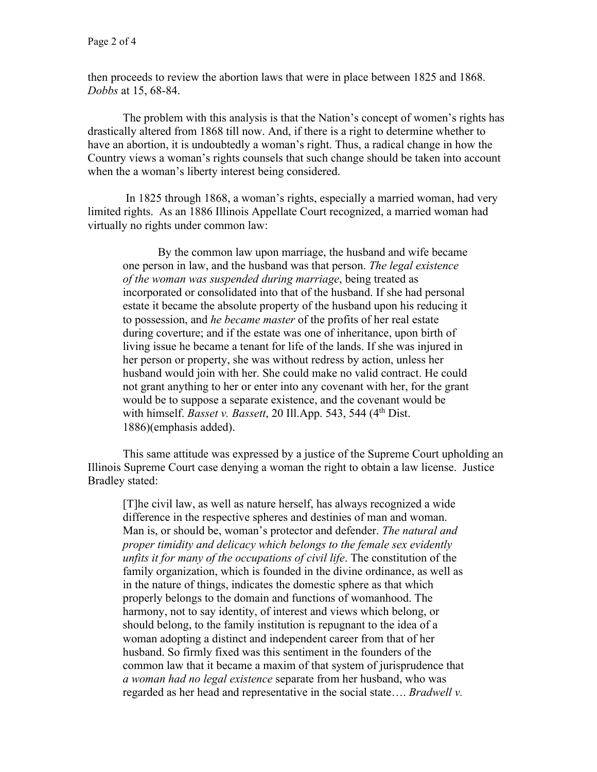then proceeds to review the abortion laws that were in place between 1825 and 1868. *Dobbs* at 15, 68-84.

The problem with this analysis is that the Nation's concept of women's rights has drastically altered from 1868 till now. And, if there is a right to determine whether to have an abortion, it is undoubtedly a woman's right. Thus, a radical change in how the Country views a woman's rights counsels that such change should be taken into account when the a woman's liberty interest being considered.

 In 1825 through 1868, a woman's rights, especially a married woman, had very limited rights. As an 1886 Illinois Appellate Court recognized, a married woman had virtually no rights under common law:

 By the common law upon marriage, the husband and wife became one person in law, and the husband was that person. *The legal existence of the woman was suspended during marriage*, being treated as incorporated or consolidated into that of the husband. If she had personal estate it became the absolute property of the husband upon his reducing it to possession, and *he became master* of the profits of her real estate during coverture; and if the estate was one of inheritance, upon birth of living issue he became a tenant for life of the lands. If she was injured in her person or property, she was without redress by action, unless her husband would join with her. She could make no valid contract. He could not grant anything to her or enter into any covenant with her, for the grant would be to suppose a separate existence, and the covenant would be with himself. *Basset v. Bassett*, 20 Ill.App. 543, 544 (4th Dist. 1886)(emphasis added).

 This same attitude was expressed by a justice of the Supreme Court upholding an Illinois Supreme Court case denying a woman the right to obtain a law license. Justice Bradley stated:

[T]he civil law, as well as nature herself, has always recognized a wide difference in the respective spheres and destinies of man and woman. Man is, or should be, woman's protector and defender. *The natural and proper timidity and delicacy which belongs to the female sex evidently unfits it for many of the occupations of civil life*. The constitution of the family organization, which is founded in the divine ordinance, as well as in the nature of things, indicates the domestic sphere as that which properly belongs to the domain and functions of womanhood. The harmony, not to say identity, of interest and views which belong, or should belong, to the family institution is repugnant to the idea of a woman adopting a distinct and independent career from that of her husband. So firmly fixed was this sentiment in the founders of the common law that it became a maxim of that system of jurisprudence that *a woman had no legal existence* separate from her husband, who was regarded as her head and representative in the social state…. *Bradwell v.*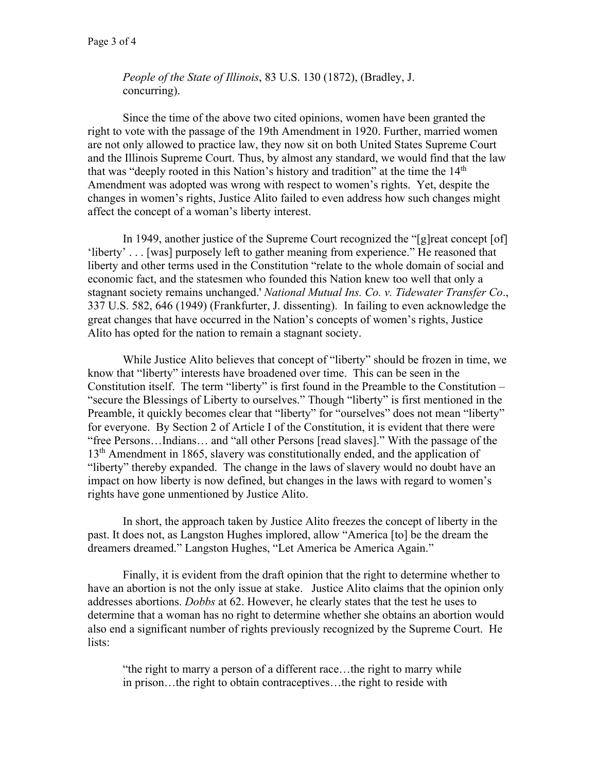*People of the State of Illinois*, 83 U.S. 130 (1872), (Bradley, J. concurring).

 Since the time of the above two cited opinions, women have been granted the right to vote with the passage of the 19th Amendment in 1920. Further, married women are not only allowed to practice law, they now sit on both United States Supreme Court and the Illinois Supreme Court. Thus, by almost any standard, we would find that the law that was "deeply rooted in this Nation's history and tradition" at the time the 14<sup>th</sup> Amendment was adopted was wrong with respect to women's rights. Yet, despite the changes in women's rights, Justice Alito failed to even address how such changes might affect the concept of a woman's liberty interest.

In 1949, another justice of the Supreme Court recognized the "[g]reat concept [of] 'liberty' . . . [was] purposely left to gather meaning from experience." He reasoned that liberty and other terms used in the Constitution "relate to the whole domain of social and economic fact, and the statesmen who founded this Nation knew too well that only a stagnant society remains unchanged.' *National Mutual Ins. Co. v. Tidewater Transfer Co*., 337 U.S. 582, 646 (1949) (Frankfurter, J. dissenting). In failing to even acknowledge the great changes that have occurred in the Nation's concepts of women's rights, Justice Alito has opted for the nation to remain a stagnant society.

While Justice Alito believes that concept of "liberty" should be frozen in time, we know that "liberty" interests have broadened over time. This can be seen in the Constitution itself. The term "liberty" is first found in the Preamble to the Constitution – "secure the Blessings of Liberty to ourselves." Though "liberty" is first mentioned in the Preamble, it quickly becomes clear that "liberty" for "ourselves" does not mean "liberty" for everyone. By Section 2 of Article I of the Constitution, it is evident that there were "free Persons…Indians… and "all other Persons [read slaves]." With the passage of the 13<sup>th</sup> Amendment in 1865, slavery was constitutionally ended, and the application of "liberty" thereby expanded. The change in the laws of slavery would no doubt have an impact on how liberty is now defined, but changes in the laws with regard to women's rights have gone unmentioned by Justice Alito.

In short, the approach taken by Justice Alito freezes the concept of liberty in the past. It does not, as Langston Hughes implored, allow "America [to] be the dream the dreamers dreamed." Langston Hughes, "Let America be America Again."

 Finally, it is evident from the draft opinion that the right to determine whether to have an abortion is not the only issue at stake. Justice Alito claims that the opinion only addresses abortions. *Dobbs* at 62. However, he clearly states that the test he uses to determine that a woman has no right to determine whether she obtains an abortion would also end a significant number of rights previously recognized by the Supreme Court. He lists:

"the right to marry a person of a different race…the right to marry while in prison…the right to obtain contraceptives…the right to reside with